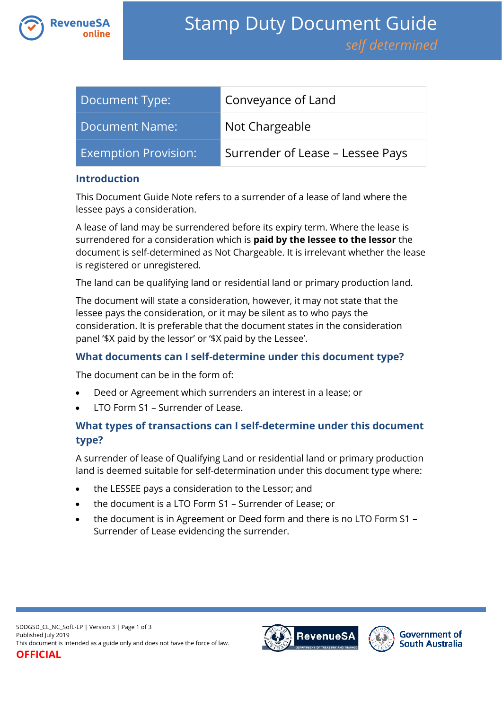

| Document Type:              | Conveyance of Land               |
|-----------------------------|----------------------------------|
| Document Name:              | Not Chargeable                   |
| <b>Exemption Provision:</b> | Surrender of Lease – Lessee Pays |

## **Introduction**

This Document Guide Note refers to a surrender of a lease of land where the lessee pays a consideration.

A lease of land may be surrendered before its expiry term. Where the lease is surrendered for a consideration which is **paid by the lessee to the lessor** the document is self-determined as Not Chargeable. It is irrelevant whether the lease is registered or unregistered.

The land can be qualifying land or residential land or primary production land.

The document will state a consideration, however, it may not state that the lessee pays the consideration, or it may be silent as to who pays the consideration. It is preferable that the document states in the consideration panel '\$X paid by the lessor' or '\$X paid by the Lessee'.

# **What documents can I self-determine under this document type?**

The document can be in the form of:

- Deed or Agreement which surrenders an interest in a lease; or
- LTO Form S1 Surrender of Lease.

# **What types of transactions can I self-determine under this document type?**

A surrender of lease of Qualifying Land or residential land or primary production land is deemed suitable for self-determination under this document type where:

- the LESSEE pays a consideration to the Lessor; and
- the document is a LTO Form S1 Surrender of Lease; or
- the document is in Agreement or Deed form and there is no LTO Form S1 Surrender of Lease evidencing the surrender.

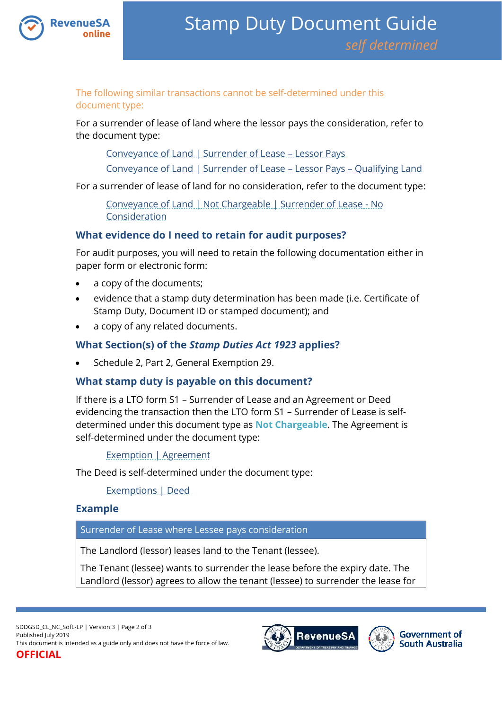

The following similar transactions cannot be self-determined under this document type:

For a surrender of lease of land where the lessor pays the consideration, refer to the document type:

[Conveyance of Land | Surrender of Lease](https://www.revenuesa.sa.gov.au/stampduty/stamp-duty-document-guide/self-determined/conveyance-of-land/sddgsd_cl_sofl_rpp) – Lessor Pays

[Conveyance of Land | Surrender of Lease](https://www.revenuesa.sa.gov.au/stampduty/stamp-duty-document-guide/self-determined/conveyance-of-land/sddgsd_cl_sofl_ql) – Lessor Pays – Qualifying Land

For a surrender of lease of land for no consideration, refer to the document type:

[Conveyance of Land | Not Chargeable | Surrender of Lease -](https://www.revenuesa.sa.gov.au/stampduty/stamp-duty-document-guide/self-determined/conveyance-of-land-not-chargeable/sddgsd_cl_nc_sofl-nocon) No [Consideration](https://www.revenuesa.sa.gov.au/stampduty/stamp-duty-document-guide/self-determined/conveyance-of-land-not-chargeable/sddgsd_cl_nc_sofl-nocon)

## **What evidence do I need to retain for audit purposes?**

For audit purposes, you will need to retain the following documentation either in paper form or electronic form:

- a copy of the documents;
- evidence that a stamp duty determination has been made (i.e. Certificate of Stamp Duty, Document ID or stamped document); and
- a copy of any related documents.

## **What Section(s) of the** *Stamp Duties Act 1923* **applies?**

Schedule 2, Part 2, General Exemption 29.

## **What stamp duty is payable on this document?**

If there is a LTO form S1 – Surrender of Lease and an Agreement or Deed evidencing the transaction then the LTO form S1 – Surrender of Lease is selfdetermined under this document type as **Not Chargeable**. The Agreement is self-determined under the document type:

## [Exemption | Agreement](https://www.revenuesa.sa.gov.au/stampduty/stamp-duty-document-guide/self-determined/exemptions/sddgsd_ex_a)

The Deed is self-determined under the document type:

[Exemptions | Deed](https://www.revenuesa.sa.gov.au/stampduty/stamp-duty-document-guide/self-determined/exemptions/sddgsd_ex_d)

## **Example**

Surrender of Lease where Lessee pays consideration

The Landlord (lessor) leases land to the Tenant (lessee).

The Tenant (lessee) wants to surrender the lease before the expiry date. The Landlord (lessor) agrees to allow the tenant (lessee) to surrender the lease for